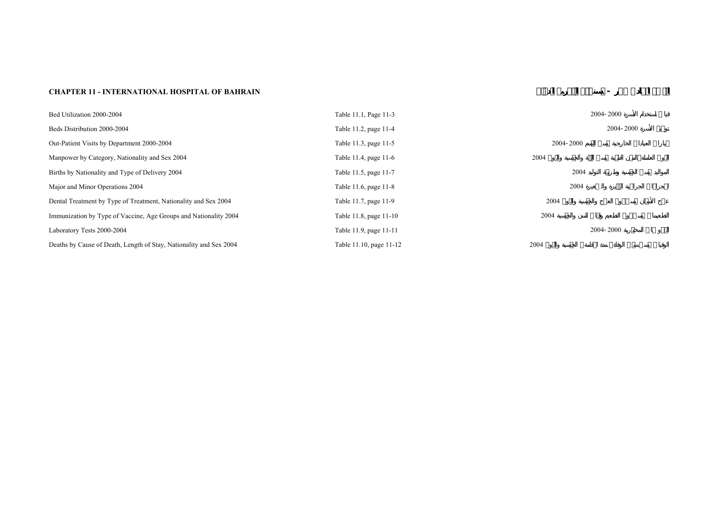## **CHAPTER 11 - INTERNATIONAL HOSPITAL OF BAHRAIN <b>***CHAPTER 11* - *Q*

| Bed Utilization 2000-2004                                          | Table 11.1, Page 11-3   |                  | 2004-2000 |
|--------------------------------------------------------------------|-------------------------|------------------|-----------|
| Beds Distribution 2000-2004                                        | Table 11.2, page 11-4   |                  | 2004-2000 |
| Out-Patient Visits by Department 2000-2004                         | Table 11.3, page 11-5   | 2004-2000        |           |
| Manpower by Category, Nationality and Sex 2004                     | Table 11.4, page 11-6   | 2004             |           |
| Births by Nationality and Type of Delivery 2004                    | Table 11.5, page 11-7   | 2004             |           |
| Major and Minor Operations 2004                                    | Table 11.6, page 11-8   | 2004             |           |
| Dental Treatment by Type of Treatment, Nationality and Sex 2004    | Table 11.7, page 11-9   | 2004             |           |
| Immunization by Type of Vaccine, Age Groups and Nationality 2004   | Table 11.8, page 11-10  | 2004             |           |
| Laboratory Tests 2000-2004                                         | Table 11.9, page 11-11  |                  | 2004-2000 |
| Deaths by Cause of Death, Length of Stay, Nationality and Sex 2004 | Table 11.10, page 11-12 | 2004<br>$\Delta$ |           |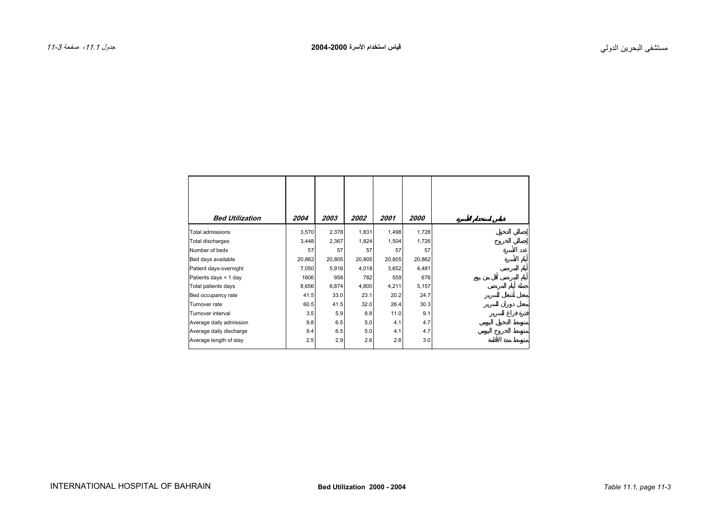<span id="page-2-0"></span>

| <b>Bed Utilization</b>  | 2004   | 2003   | 2002   | 2001   | <i>2000</i> |
|-------------------------|--------|--------|--------|--------|-------------|
| <b>Total admissions</b> | 3,570  | 2,378  | 1,831  | 1,498  | 1,728       |
| Total discharges        | 3,448  | 2,367  | 1,824  | 1,504  | 1,726       |
| Number of beds          | 57     | 57     | 57     | 57     | 57          |
| Bed days available      | 20,862 | 20,805 | 20,805 | 20,805 | 20,862      |
| Patient days-overnight  | 7,050  | 5,916  | 4,018  | 3,652  | 4,481       |
| Patients days < 1 day   | 1606   | 958    | 782    | 559    | 676         |
| Total patients days     | 8,656  | 6,874  | 4,800  | 4,211  | 5,157       |
| Bed occupancy rate      | 41.5   | 33.0   | 23.1   | 20.2   | 24.7        |
| Turnover rate           | 60.5   | 41.5   | 32.0   | 26.4   | 30.3        |
| Turnover interval       | 3.5    | 5.9    | 8.8    | 11.0   | 9.1         |
| Average daily admission | 9.8    | 6.5    | 5.0    | 4.1    | 4.7         |
| Average daily discharge | 9.4    | 6.5    | 5.0    | 4.1    | 4.7         |
| Average length of stay  | 2.5    | 2.9    | 2.6    | 2.8    | 3.0         |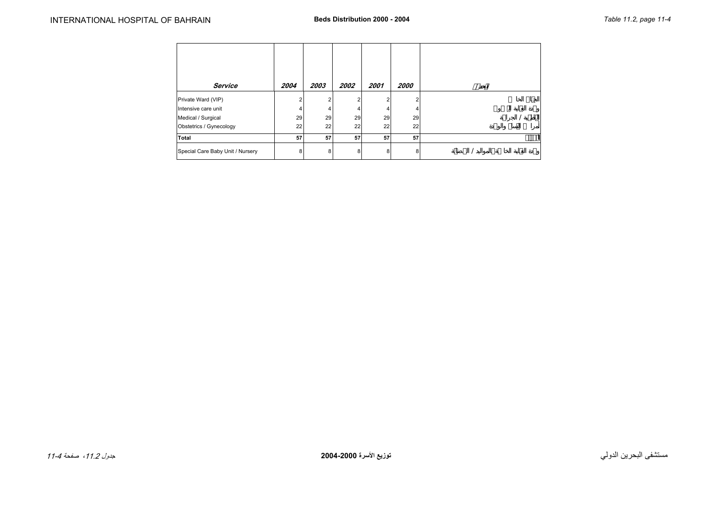<span id="page-3-0"></span>

| Service                          | 2004 | 2003 | 2002 | 2001 | 2000 |  |
|----------------------------------|------|------|------|------|------|--|
| Private Ward (VIP)               | ົ    | 2    |      | ົ    | 2    |  |
| Intensive care unit              |      | 4    |      |      | 4    |  |
| Medical / Surgical               | 29   | 29   | 29   | 29   | 29   |  |
| Obstetrics / Gynecology          | 22   | 22   | 22   | 22   | 22   |  |
| <b>Total</b>                     | 57   | 57   | 57   | 57   | 57   |  |
| Special Care Baby Unit / Nursery | 8    | 8    | 8    | 8    | 8    |  |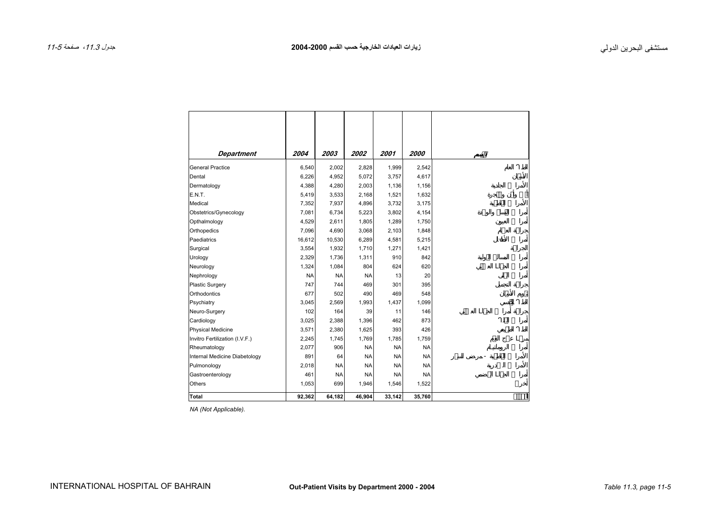<span id="page-4-0"></span>

| <b>Department</b>              | 2004      | 2003      | 2002      | 2001      | 2000      |
|--------------------------------|-----------|-----------|-----------|-----------|-----------|
| <b>General Practice</b>        | 6,540     | 2,002     | 2,828     | 1,999     | 2,542     |
| Dental                         | 6,226     | 4,952     | 5,072     | 3,757     | 4,617     |
| Dermatology                    | 4,388     | 4,280     | 2,003     | 1,136     | 1,156     |
| E.N.T.                         | 5,419     | 3,533     | 2,168     | 1,521     | 1,632     |
| Medical                        | 7,352     | 7,937     | 4,896     | 3,732     | 3,175     |
| Obstetrics/Gynecology          | 7,081     | 6,734     | 5,223     | 3,802     | 4,154     |
| Opthalmology                   | 4,529     | 2,611     | 1,805     | 1,289     | 1,750     |
| Orthopedics                    | 7,096     | 4,690     | 3,068     | 2,103     | 1,848     |
| Paediatrics                    | 16,612    | 10,530    | 6,289     | 4,581     | 5,215     |
| Surgical                       | 3,554     | 1,932     | 1,710     | 1,271     | 1,421     |
| Urology                        | 2,329     | 1,736     | 1,311     | 910       | 842       |
| Neurology                      | 1,324     | 1,084     | 804       | 624       | 620       |
| Nephrology                     | <b>NA</b> | <b>NA</b> | <b>NA</b> | 13        | 20        |
| <b>Plastic Surgery</b>         | 747       | 744       | 469       | 301       | 395       |
| Orthodontics                   | 677       | 502       | 490       | 469       | 548       |
| Psychiatry                     | 3,045     | 2,569     | 1,993     | 1,437     | 1,099     |
| Neuro-Surgery                  | 102       | 164       | 39        | 11        | 146       |
| Cardiology                     | 3,025     | 2,388     | 1,396     | 462       | 873       |
| <b>Physical Medicine</b>       | 3,571     | 2,380     | 1,625     | 393       | 426       |
| Invitro Fertilization (I.V.F.) | 2,245     | 1,745     | 1,769     | 1,785     | 1,759     |
| Rheumatology                   | 2,077     | 906       | <b>NA</b> | <b>NA</b> | <b>NA</b> |
| Internal Medicine Diabetology  | 891       | 64        | <b>NA</b> | <b>NA</b> | <b>NA</b> |
| Pulmonology                    | 2,018     | <b>NA</b> | <b>NA</b> | <b>NA</b> | <b>NA</b> |
| Gastroenterology               | 461       | <b>NA</b> | <b>NA</b> | <b>NA</b> | <b>NA</b> |
| <b>Others</b>                  | 1,053     | 699       | 1,946     | 1,546     | 1,522     |
| Total                          | 92,362    | 64,182    | 46,904    | 33,142    | 35,760    |

*NA (Not Applicable).*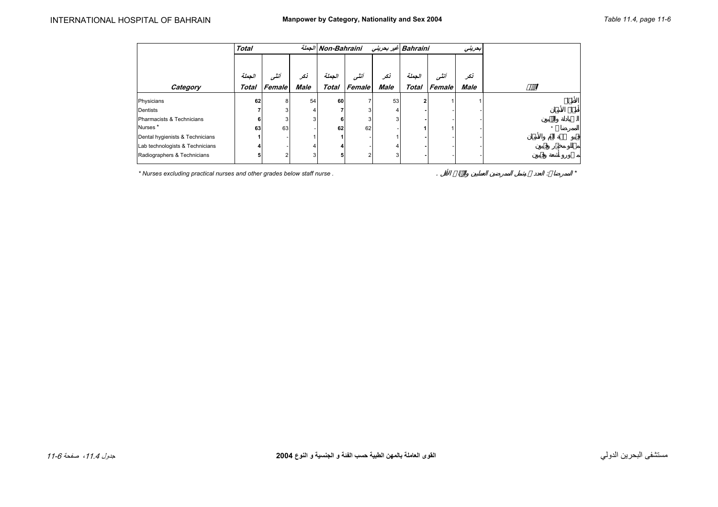<span id="page-5-0"></span>

|                                 | <b>Total</b> |        |             | الجملة Non-Bahraini |        |             |                | Bahraini غير بحريني<br>بعريني |             |  |  |
|---------------------------------|--------------|--------|-------------|---------------------|--------|-------------|----------------|-------------------------------|-------------|--|--|
|                                 |              |        |             |                     |        |             |                |                               |             |  |  |
|                                 | الجملة       | أننشر  | نكر         | الحملة              | أنشور  | نكر         | الحملة         | أنشى                          | نكر         |  |  |
| Category                        | Total        | Female | <b>Male</b> | <b>Total</b>        | Female | <b>Male</b> | <b>Total</b>   | Female                        | <b>Male</b> |  |  |
| Physicians                      | 62           | 8      | 54          | 60                  |        | 53          | $\overline{2}$ |                               |             |  |  |
| Dentists                        |              |        |             |                     |        |             |                |                               |             |  |  |
| Pharmacists & Technicians       | 6            |        | 3           | 6                   |        | 3           |                |                               |             |  |  |
| Nurses <sup>*</sup>             | 63           | 63     |             | 62                  | 62     |             |                |                               |             |  |  |
| Dental hygienists & Technicians |              |        |             |                     |        |             |                |                               |             |  |  |
| Lab technologists & Technicians |              |        |             |                     |        |             |                |                               |             |  |  |
| Radiographers & Technicians     |              |        | 3           | 5                   |        | 3           |                |                               |             |  |  |

*\* Nurses excluding practical nurses and other grades below staff nurse .* . : *\**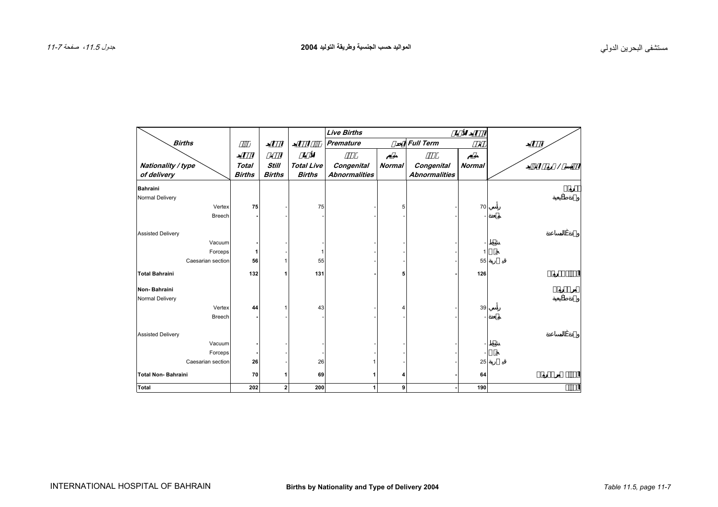<span id="page-6-0"></span>

|                           |               |                |                   | <b>Live Births</b>   |               |                      |               |  |
|---------------------------|---------------|----------------|-------------------|----------------------|---------------|----------------------|---------------|--|
| <b>Births</b>             |               |                |                   | <b>Premature</b>     |               | <b>Full Term</b>     | $\varnothing$ |  |
|                           |               |                |                   |                      |               |                      |               |  |
| Nationality / type        | <b>Total</b>  | Still          | <b>Total Live</b> | Congenital           | <b>Normal</b> | Congenital           | <b>Normal</b> |  |
| of delivery               | <b>Births</b> | <b>Births</b>  | <b>Births</b>     | <b>Abnormalities</b> |               | <b>Abnormalities</b> |               |  |
| <b>Bahraini</b>           |               |                |                   |                      |               |                      |               |  |
| Normal Delivery           |               |                |                   |                      |               |                      |               |  |
| Vertex                    | 75            |                | 75                |                      | 5             |                      | 70            |  |
| <b>Breech</b>             |               |                |                   |                      |               |                      |               |  |
| <b>Assisted Delivery</b>  |               |                |                   |                      |               |                      |               |  |
| Vacuum                    |               |                |                   |                      |               |                      |               |  |
| Forceps                   |               |                |                   |                      |               |                      |               |  |
| Caesarian section         | 56            |                | 55                |                      |               |                      | 55            |  |
| <b>Total Bahraini</b>     | 132           |                | 131               |                      |               |                      | 126           |  |
| Non-Bahraini              |               |                |                   |                      |               |                      |               |  |
| Normal Delivery           |               |                |                   |                      |               |                      |               |  |
| Vertex                    | 44            |                | 43                |                      |               |                      | 39            |  |
| <b>Breech</b>             |               |                |                   |                      |               |                      |               |  |
| <b>Assisted Delivery</b>  |               |                |                   |                      |               |                      |               |  |
| Vacuum                    |               |                |                   |                      |               |                      |               |  |
| Forceps                   |               |                |                   |                      |               |                      |               |  |
| Caesarian section         | 26            |                | 26                | 1                    |               |                      | 25            |  |
| <b>Total Non-Bahraini</b> | 70            |                | 69                | 1                    |               |                      | 64            |  |
| <b>Total</b>              | 202           | 2 <sub>1</sub> | 200               | 1                    | 9             |                      | 190           |  |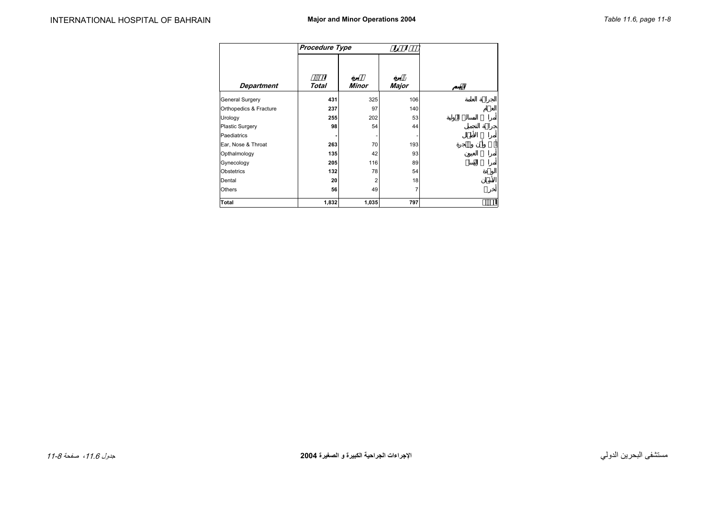<span id="page-7-0"></span>

|                        | Procedure Type |       |                |
|------------------------|----------------|-------|----------------|
|                        |                |       |                |
| <b>Department</b>      | Total          | Minor | Major          |
| General Surgery        | 431            | 325   | 106            |
| Orthopedics & Fracture | 237            | 97    | 140            |
| Urology                | 255            | 202   | 53             |
| Plastic Surgery        | 98             | 54    | 44             |
| Paediatrics            |                |       | ٠              |
| Ear, Nose & Throat     | 263            | 70    | 193            |
| Opthalmology           | 135            | 42    | 93             |
| Gynecology             | 205            | 116   | 89             |
| <b>Obstetrics</b>      | 132            | 78    | 54             |
| Dental                 | 20             | 2     | 18             |
| <b>Others</b>          | 56             | 49    | $\overline{7}$ |
| Total                  | 1,832          | 1,035 | 797            |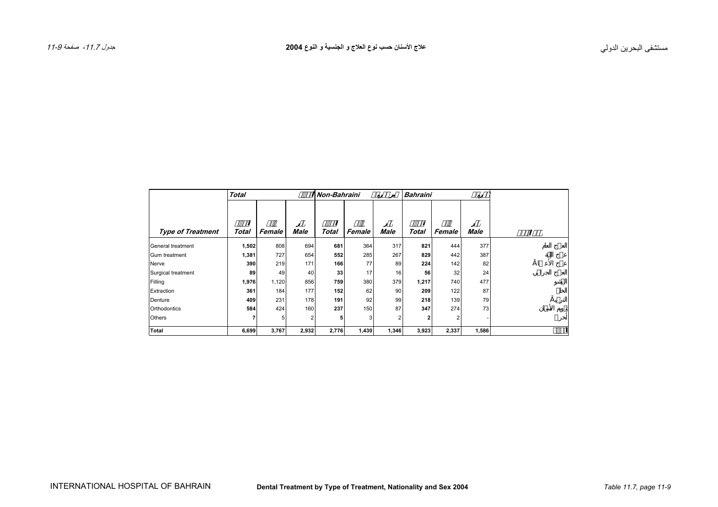<span id="page-8-0"></span>

|                          | <b>Total</b> |        |             | Non-Bahraini |        |             | <b>Bahraini</b> |        |             |  |
|--------------------------|--------------|--------|-------------|--------------|--------|-------------|-----------------|--------|-------------|--|
|                          |              |        |             |              |        |             |                 |        |             |  |
|                          |              |        |             |              |        |             |                 |        |             |  |
| <b>Type of Treatment</b> | Total        | Female | <b>Male</b> | <b>Total</b> | Female | <b>Male</b> | Total           | Female | <b>Male</b> |  |
| General treatment        | 1,502        | 808    | 694         | 681          | 364    | 317         | 821             | 444    | 377         |  |
| Gum treatment            | 1,381        | 727    | 654         | 552          | 285    | 267         | 829             | 442    | 387         |  |
| Nerve                    | 390          | 219    | 171         | 166          | 77     | 89          | 224             | 142    | 82          |  |
| Surgical treatment       | 89           | 49     | 40          | 33           | 17     | 16          | 56              | 32     | 24          |  |
| Filling                  | 1,976        | 1,120  | 856         | 759          | 380    | 379         | 1,217           | 740    | 477         |  |
| Extraction               | 361          | 184    | 177         | 152          | 62     | 90          | 209             | 122    | 87          |  |
| Denture                  | 409          | 231    | 178         | 191          | 92     | 99          | 218             | 139    | 79          |  |
| Orthodontics             | 584          | 424    | 160         | 237          | 150    | 87          | 347             | 274    | 73          |  |
| Others                   |              | 5      | 2           | 5            | 3      | 2           | $\overline{2}$  |        |             |  |
| Total                    | 6,699        | 3,767  | 2,932       | 2,776        | 1,430  | 1,346       | 3,923           | 2,337  | 1,586       |  |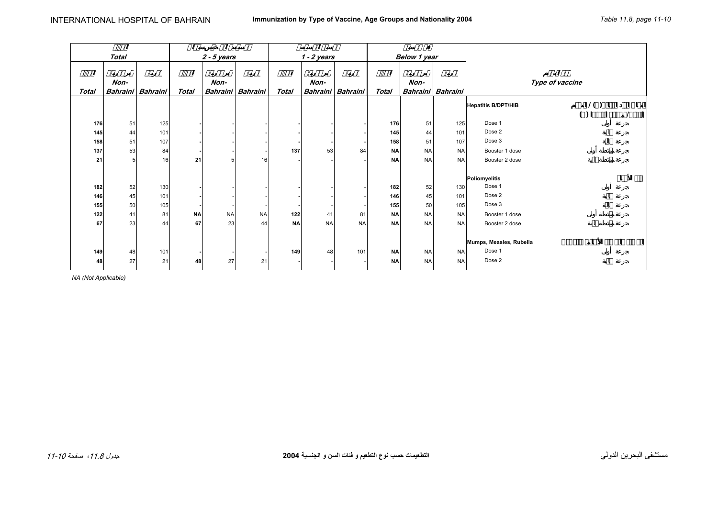<span id="page-9-0"></span>

|              |                |                   |              |               |                   |           |               |           | Ø            |                     |           |                            |                 |   |   |
|--------------|----------------|-------------------|--------------|---------------|-------------------|-----------|---------------|-----------|--------------|---------------------|-----------|----------------------------|-----------------|---|---|
|              | <b>Total</b>   |                   |              | $2 - 5$ years |                   |           | $1 - 2$ years |           |              | <b>Below 1 year</b> |           |                            |                 |   |   |
|              |                |                   |              |               |                   |           |               |           |              |                     |           |                            |                 |   |   |
|              | Non-           |                   |              | Non-          |                   |           | Non-          |           |              | Non-                |           |                            |                 |   |   |
| <b>Total</b> |                | Bahraini Bahraini | <b>Total</b> |               | Bahraini Bahraini | Total     | Bahraini      | Bahraini  | <b>Total</b> | Bahraini Bahraini   |           |                            | Type of vaccine |   |   |
|              |                |                   |              |               |                   |           |               |           |              |                     |           |                            |                 |   |   |
|              |                |                   |              |               |                   |           |               |           |              |                     |           | <b>Hepatitis B/DPT/HIB</b> | 1()             |   |   |
|              |                |                   |              |               |                   |           |               |           |              |                     |           |                            | ( )             |   |   |
| 176          | 51             | 125               |              |               |                   |           |               |           | 176          | 51                  | 125       | Dose 1                     |                 |   |   |
| 145          | 44             | 101               |              |               |                   |           |               |           | 145          | 44                  | 101       | Dose 2                     |                 |   |   |
| 158          | 51             | 107               |              |               |                   |           |               |           | 158          | 51                  | 107       | Dose 3                     |                 |   |   |
| 137          | 53             | 84                |              |               |                   | 137       | 53            | 84        | <b>NA</b>    | <b>NA</b>           | <b>NA</b> | Booster 1 dose             |                 |   |   |
| 21           | 5 <sup>1</sup> | 16                | 21           | 5             | 16                |           |               |           | <b>NA</b>    | <b>NA</b>           | <b>NA</b> | Booster 2 dose             |                 |   |   |
|              |                |                   |              |               |                   |           |               |           |              |                     |           |                            |                 |   |   |
|              |                |                   |              |               |                   |           |               |           |              |                     |           | Poliomyelitis              |                 | Ø | Ø |
| 182          | 52             | 130               |              |               |                   |           |               |           | 182          | 52                  | 130       | Dose 1                     |                 |   |   |
| 146          | 45             | 101               |              |               |                   |           |               |           | 146          | 45                  | 101       | Dose 2                     |                 |   |   |
| 155          | 50             | 105               |              |               |                   |           |               |           | 155          | 50                  | 105       | Dose 3                     |                 |   |   |
| 122          | 41             | 81                | <b>NA</b>    | <b>NA</b>     | <b>NA</b>         | 122       | 41            | 81        | <b>NA</b>    | <b>NA</b>           | <b>NA</b> | Booster 1 dose             |                 |   |   |
| 67           | 23             | 44                | 67           | 23            | 44                | <b>NA</b> | <b>NA</b>     | <b>NA</b> | <b>NA</b>    | <b>NA</b>           | <b>NA</b> | Booster 2 dose             |                 |   |   |
|              |                |                   |              |               |                   |           |               |           |              |                     |           |                            |                 |   |   |
|              |                |                   |              |               |                   |           |               |           |              |                     |           | Mumps, Measles, Rubella    |                 |   |   |
| 149          | 48             | 101               |              |               |                   | 149       | 48            | 101       | <b>NA</b>    | <b>NA</b>           | <b>NA</b> | Dose 1                     |                 |   |   |
| 48           | 27             | 21                | 48           | 27            | 21                |           |               |           | <b>NA</b>    | <b>NA</b>           | <b>NA</b> | Dose 2                     |                 |   |   |
|              |                |                   |              |               |                   |           |               |           |              |                     |           |                            |                 |   |   |

*NA (Not Applicable)*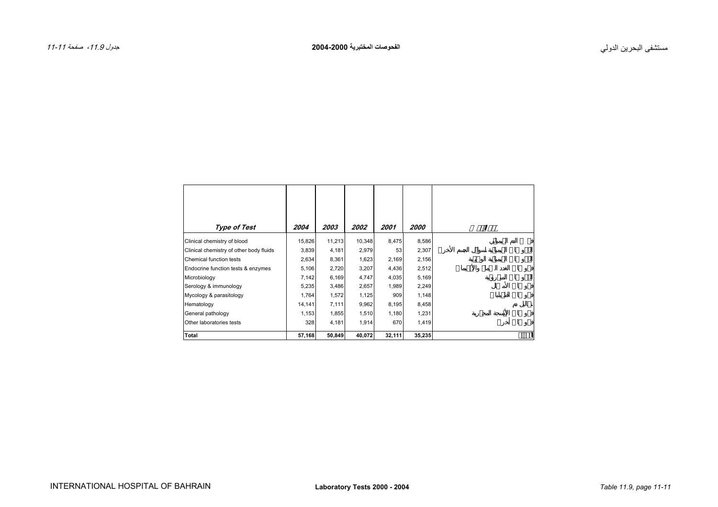<span id="page-10-0"></span>

| <b>Type of Test</b>                     | 2004   | 2003   | <i><b>2002</b></i> | 2001   | <i><b>2000</b></i> |
|-----------------------------------------|--------|--------|--------------------|--------|--------------------|
| Clinical chemistry of blood             | 15,826 | 11,213 | 10,348             | 8,475  | 8,586              |
| Clinical chemistry of other body fluids | 3,839  | 4,181  | 2,979              | 53     | 2,307              |
| Chemical function tests                 | 2,634  | 8,361  | 1,623              | 2,169  | 2,156              |
| Endocrine function tests & enzymes      | 5,106  | 2,720  | 3,207              | 4,436  | 2,512              |
| Microbiology                            | 7,142  | 6,169  | 4,747              | 4,035  | 5,169              |
| Serology & immunology                   | 5,235  | 3,486  | 2,657              | 1,989  | 2,249              |
| Mycology & parasitology                 | 1,764  | 1,572  | 1,125              | 909    | 1,148              |
| Hematology                              | 14,141 | 7,111  | 9,962              | 8,195  | 8,458              |
| General pathology                       | 1,153  | 1,855  | 1,510              | 1,180  | 1,231              |
| Other laboratories tests                | 328    | 4,181  | 1,914              | 670    | 1,419              |
| Total                                   | 57,168 | 50,849 | 40,072             | 32,111 | 35,235             |